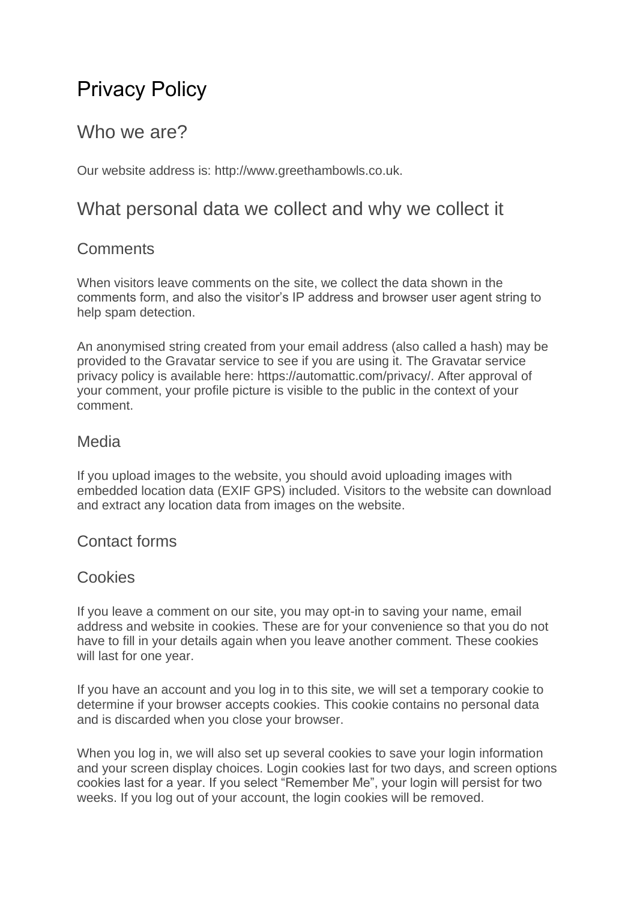# Privacy Policy

## Who we are?

Our website address is: http://www.greethambowls.co.uk.

### What personal data we collect and why we collect it

#### **Comments**

When visitors leave comments on the site, we collect the data shown in the comments form, and also the visitor's IP address and browser user agent string to help spam detection.

An anonymised string created from your email address (also called a hash) may be provided to the Gravatar service to see if you are using it. The Gravatar service privacy policy is available here: https://automattic.com/privacy/. After approval of your comment, your profile picture is visible to the public in the context of your comment.

#### Media

If you upload images to the website, you should avoid uploading images with embedded location data (EXIF GPS) included. Visitors to the website can download and extract any location data from images on the website.

#### Contact forms

#### **Cookies**

If you leave a comment on our site, you may opt-in to saving your name, email address and website in cookies. These are for your convenience so that you do not have to fill in your details again when you leave another comment. These cookies will last for one year.

If you have an account and you log in to this site, we will set a temporary cookie to determine if your browser accepts cookies. This cookie contains no personal data and is discarded when you close your browser.

When you log in, we will also set up several cookies to save your login information and your screen display choices. Login cookies last for two days, and screen options cookies last for a year. If you select "Remember Me", your login will persist for two weeks. If you log out of your account, the login cookies will be removed.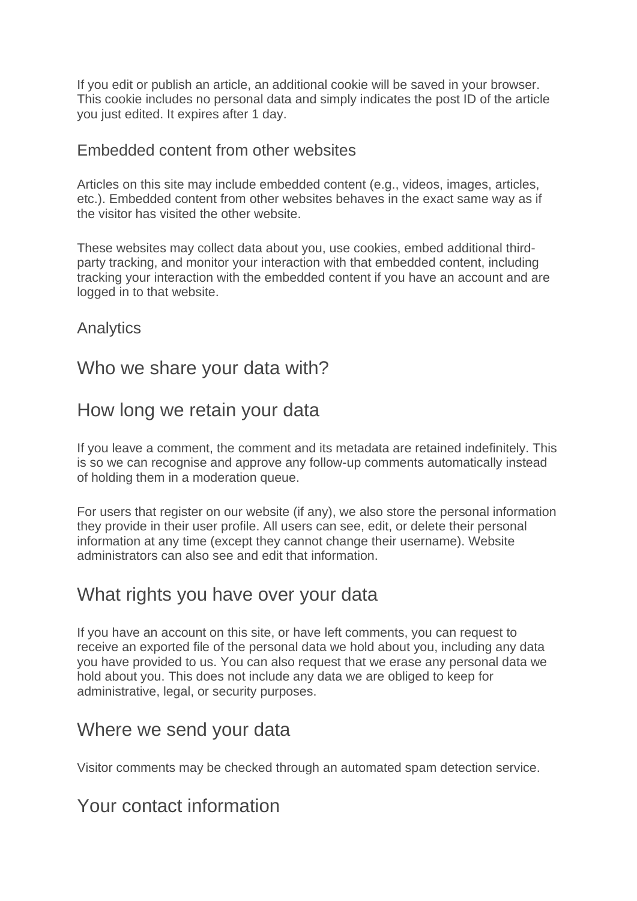If you edit or publish an article, an additional cookie will be saved in your browser. This cookie includes no personal data and simply indicates the post ID of the article you just edited. It expires after 1 day.

#### Embedded content from other websites

Articles on this site may include embedded content (e.g., videos, images, articles, etc.). Embedded content from other websites behaves in the exact same way as if the visitor has visited the other website.

These websites may collect data about you, use cookies, embed additional thirdparty tracking, and monitor your interaction with that embedded content, including tracking your interaction with the embedded content if you have an account and are logged in to that website.

Analytics

### Who we share your data with?

### How long we retain your data

If you leave a comment, the comment and its metadata are retained indefinitely. This is so we can recognise and approve any follow-up comments automatically instead of holding them in a moderation queue.

For users that register on our website (if any), we also store the personal information they provide in their user profile. All users can see, edit, or delete their personal information at any time (except they cannot change their username). Website administrators can also see and edit that information.

### What rights you have over your data

If you have an account on this site, or have left comments, you can request to receive an exported file of the personal data we hold about you, including any data you have provided to us. You can also request that we erase any personal data we hold about you. This does not include any data we are obliged to keep for administrative, legal, or security purposes.

### Where we send your data

Visitor comments may be checked through an automated spam detection service.

### Your contact information